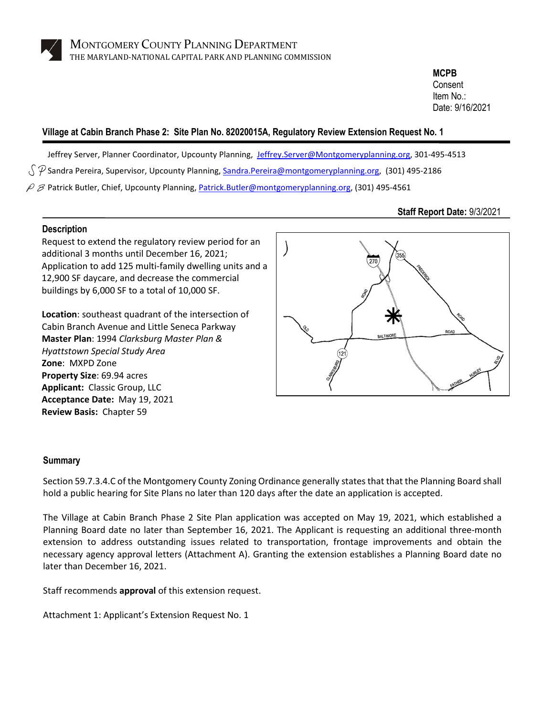

**MCPB** Consent Item No.: Date: 9/16/2021

# **Village at Cabin Branch Phase 2: Site Plan No. 82020015A, Regulatory Review Extension Request No. 1**

Jeffrey Server, Planner Coordinator, Upcounty Planning, [Jeffrey.Server@Montgomeryplanning.org,](mailto:Jeffrey.Server@Montgomeryplanning.org) 301-495-4513  $\sqrt{P}$  Sandra Pereira, Supervisor, Upcounty Planning[, Sandra.Pereira@montgomeryplanning.org,](mailto:Sandra.Pereira@montgomeryplanning.org) (301) 495-2186  $\varphi$   $\beta$  Patrick Butler, Chief, Upcounty Planning[, Patrick.Butler@montgomeryplanning.org,](mailto:Patrick.Butler@montgomeryplanning.org) (301) 495-4561

# **Staff Report Date:** 9/3/2021

## **Description**

Request to extend the regulatory review period for an additional 3 months until December 16, 2021; Application to add 125 multi-family dwelling units and a 12,900 SF daycare, and decrease the commercial buildings by 6,000 SF to a total of 10,000 SF.

**Location**: southeast quadrant of the intersection of Cabin Branch Avenue and Little Seneca Parkway **Master Plan**: 1994 *Clarksburg Master Plan & Hyattstown Special Study Area* **Zone**: MXPD Zone **Property Size**: 69.94 acres **Applicant:** Classic Group, LLC **Acceptance Date:** May 19, 2021 **Review Basis:** Chapter 59



### **Summary**

Section 59.7.3.4.C of the Montgomery County Zoning Ordinance generally states that that the Planning Board shall hold a public hearing for Site Plans no later than 120 days after the date an application is accepted.

The Village at Cabin Branch Phase 2 Site Plan application was accepted on May 19, 2021, which established a Planning Board date no later than September 16, 2021. The Applicant is requesting an additional three-month extension to address outstanding issues related to transportation, frontage improvements and obtain the necessary agency approval letters (Attachment A). Granting the extension establishes a Planning Board date no later than December 16, 2021.

Staff recommends **approval** of this extension request.

Attachment 1: Applicant's Extension Request No. 1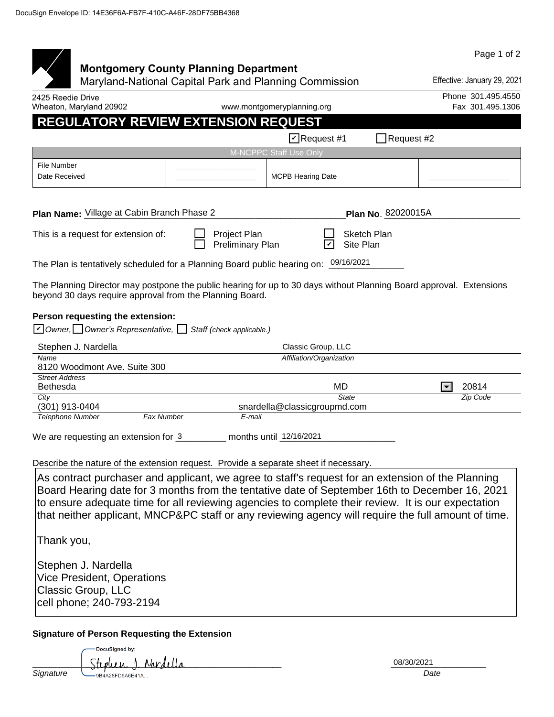|                                                                                                                                                                                                                                                                                                                                                                                                                  |                                                                                                        |                              |                                 | Page 1 of 2                   |
|------------------------------------------------------------------------------------------------------------------------------------------------------------------------------------------------------------------------------------------------------------------------------------------------------------------------------------------------------------------------------------------------------------------|--------------------------------------------------------------------------------------------------------|------------------------------|---------------------------------|-------------------------------|
|                                                                                                                                                                                                                                                                                                                                                                                                                  | <b>Montgomery County Planning Department</b><br>Maryland-National Capital Park and Planning Commission |                              |                                 | Effective: January 29, 2021   |
| 2425 Reedie Drive                                                                                                                                                                                                                                                                                                                                                                                                |                                                                                                        |                              |                                 | Phone 301.495.4550            |
| Wheaton, Maryland 20902                                                                                                                                                                                                                                                                                                                                                                                          |                                                                                                        | www.montgomeryplanning.org   |                                 | Fax 301.495.1306              |
| <b>REGULATORY REVIEW EXTENSION REQUEST</b>                                                                                                                                                                                                                                                                                                                                                                       |                                                                                                        |                              |                                 |                               |
|                                                                                                                                                                                                                                                                                                                                                                                                                  |                                                                                                        | $\triangleright$ Request #1  | Request #2                      |                               |
|                                                                                                                                                                                                                                                                                                                                                                                                                  |                                                                                                        | M-NCPPC Staff Use Only       |                                 |                               |
| <b>File Number</b><br>Date Received                                                                                                                                                                                                                                                                                                                                                                              |                                                                                                        | <b>MCPB Hearing Date</b>     |                                 |                               |
| Plan Name: Village at Cabin Branch Phase 2                                                                                                                                                                                                                                                                                                                                                                       |                                                                                                        |                              | Plan No. 82020015A              |                               |
| This is a request for extension of:                                                                                                                                                                                                                                                                                                                                                                              | Project Plan<br>Preliminary Plan                                                                       |                              | <b>Sketch Plan</b><br>Site Plan |                               |
| The Plan is tentatively scheduled for a Planning Board public hearing on: 09/16/2021                                                                                                                                                                                                                                                                                                                             |                                                                                                        |                              |                                 |                               |
| The Planning Director may postpone the public hearing for up to 30 days without Planning Board approval. Extensions<br>beyond 30 days require approval from the Planning Board.                                                                                                                                                                                                                                  |                                                                                                        |                              |                                 |                               |
| Person requesting the extension:<br>☑ Owner, Owner's Representative, Staff (check applicable.)                                                                                                                                                                                                                                                                                                                   |                                                                                                        |                              |                                 |                               |
| Stephen J. Nardella                                                                                                                                                                                                                                                                                                                                                                                              |                                                                                                        | Classic Group, LLC           |                                 |                               |
| Name<br>8120 Woodmont Ave. Suite 300                                                                                                                                                                                                                                                                                                                                                                             |                                                                                                        | Affiliation/Organization     |                                 |                               |
| <b>Street Address</b>                                                                                                                                                                                                                                                                                                                                                                                            |                                                                                                        |                              |                                 | 20814<br>$\blacktriangledown$ |
| <b>Bethesda</b><br>City                                                                                                                                                                                                                                                                                                                                                                                          |                                                                                                        |                              | MD<br><b>State</b>              | Zip Code                      |
| (301) 913-0404                                                                                                                                                                                                                                                                                                                                                                                                   |                                                                                                        | snardella@classicgroupmd.com |                                 |                               |
| <b>Telephone Number</b><br><b>Fax Number</b>                                                                                                                                                                                                                                                                                                                                                                     | E-mail                                                                                                 |                              |                                 |                               |
| We are requesting an extension for 3                                                                                                                                                                                                                                                                                                                                                                             |                                                                                                        | months until 12/16/2021      |                                 |                               |
|                                                                                                                                                                                                                                                                                                                                                                                                                  |                                                                                                        |                              |                                 |                               |
| Describe the nature of the extension request. Provide a separate sheet if necessary.                                                                                                                                                                                                                                                                                                                             |                                                                                                        |                              |                                 |                               |
| As contract purchaser and applicant, we agree to staff's request for an extension of the Planning<br>Board Hearing date for 3 months from the tentative date of September 16th to December 16, 2021<br>to ensure adequate time for all reviewing agencies to complete their review. It is our expectation<br>that neither applicant, MNCP&PC staff or any reviewing agency will require the full amount of time. |                                                                                                        |                              |                                 |                               |
| Thank you,                                                                                                                                                                                                                                                                                                                                                                                                       |                                                                                                        |                              |                                 |                               |
| Stephen J. Nardella<br><b>Vice President, Operations</b><br>Classic Group, LLC<br>cell phone; 240-793-2194                                                                                                                                                                                                                                                                                                       |                                                                                                        |                              |                                 |                               |
| <b>Signature of Person Requesting the Extension</b>                                                                                                                                                                                                                                                                                                                                                              |                                                                                                        |                              |                                 |                               |
| DocuSigned by:                                                                                                                                                                                                                                                                                                                                                                                                   |                                                                                                        |                              |                                 |                               |
|                                                                                                                                                                                                                                                                                                                                                                                                                  |                                                                                                        |                              |                                 |                               |

| Signature |
|-----------|
|           |
|           |
|           |

|           | -<br>$v^{\alpha}$<br>. JA<br>'M<br>بمصمت | 08/30/2021 |
|-----------|------------------------------------------|------------|
| Signature | <sup>≅≏⊏</sup> D6A6E41A<br>9B4A28FT      | Date       |